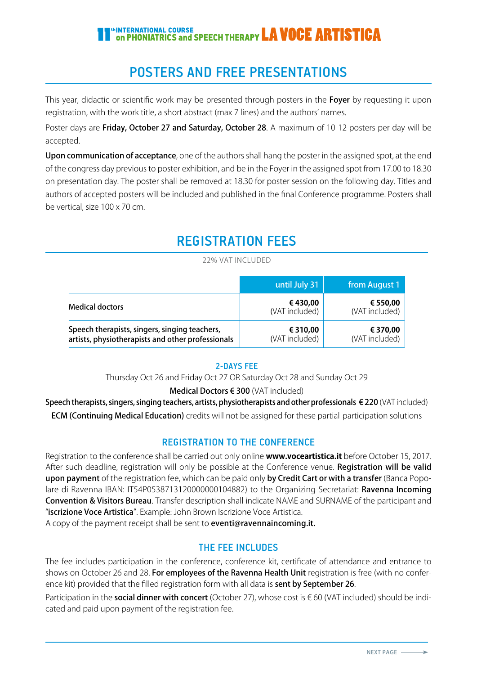# **In INTERNATIONAL COURSE**<br>On PHONIATRICS and SPEECH THERAPY **LA VOCE ARTISTICA**

# POSTERS AND FREE PRESENTATIONS

This year, didactic or scientific work may be presented through posters in the Foyer by requesting it upon registration, with the work title, a short abstract (max 7 lines) and the authors' names.

Poster days are Friday, October 27 and Saturday, October 28. A maximum of 10-12 posters per day will be accepted.

Upon communication of acceptance, one of the authors shall hang the poster in the assigned spot, at the end of the congress day previous to poster exhibition, and be in the Foyer in the assigned spot from 17.00 to 18.30 on presentation day. The poster shall be removed at 18.30 for poster session on the following day. Titles and authors of accepted posters will be included and published in the final Conference programme. Posters shall be vertical, size 100 x 70 cm.

# REGISTRATION FEES

#### 22% VAT INCLUDED

|                                                                                                    | until July 31              | from August 1              |
|----------------------------------------------------------------------------------------------------|----------------------------|----------------------------|
| <b>Medical doctors</b>                                                                             | €430,00<br>(VAT included)  | € 550,00<br>(VAT included) |
| Speech therapists, singers, singing teachers,<br>artists, physiotherapists and other professionals | € 310,00<br>(VAT included) | € 370,00<br>(VAT included) |

# 2-DAYS FEE

Thursday Oct 26 and Friday Oct 27 OR Saturday Oct 28 and Sunday Oct 29

### Medical Doctors € 300 (VAT included)

Speech therapists, singers, singing teachers, artists, physiotherapists and other professionals €220 (VAT included) ECM (Continuing Medical Education) credits will not be assigned for these partial-participation solutions

# REGISTRATION TO THE CONFERENCE

Registration to the conference shall be carried out only online **www.voceartistica.it** before October 15, 2017. After such deadline, registration will only be possible at the Conference venue. Registration will be valid upon payment of the registration fee, which can be paid only by Credit Cart or with a transfer (Banca Popolare di Ravenna IBAN: IT54P0538713120000000104882) to the Organizing Secretariat: Ravenna Incoming Convention & Visitors Bureau. Transfer description shall indicate NAME and SURNAME of the participant and "iscrizione Voce Artistica". Example: John Brown Iscrizione Voce Artistica.

A copy of the payment receipt shall be sent to **eventi@ravennaincoming.it.** 

# THE FEE INCLUDES

The fee includes participation in the conference, conference kit, certificate of attendance and entrance to shows on October 26 and 28. For employees of the Ravenna Health Unit registration is free (with no conference kit) provided that the filled registration form with all data is **sent by September 26**.

Participation in the **social dinner with concert** (October 27), whose cost is €60 (VAT included) should be indicated and paid upon payment of the registration fee.